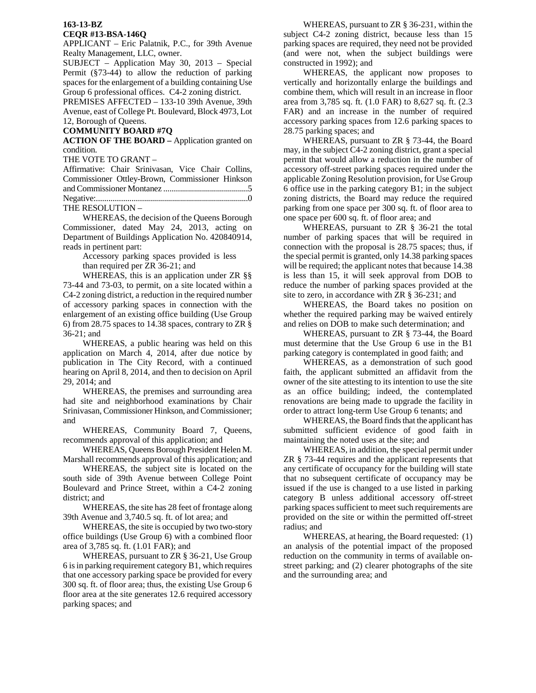## **163-13-BZ CEQR #13-BSA-146Q**

APPLICANT – Eric Palatnik, P.C., for 39th Avenue Realty Management, LLC, owner.

SUBJECT – Application May 30, 2013 – Special Permit (§73-44) to allow the reduction of parking spaces for the enlargement of a building containing Use Group 6 professional offices. C4-2 zoning district.

PREMISES AFFECTED – 133-10 39th Avenue, 39th Avenue, east of College Pt. Boulevard, Block 4973, Lot 12, Borough of Queens.

## **COMMUNITY BOARD #7Q**

**ACTION OF THE BOARD –** Application granted on condition.

THE VOTE TO GRANT –

| Affirmative: Chair Srinivasan, Vice Chair Collins, |  |  |  |
|----------------------------------------------------|--|--|--|
| Commissioner Ottley-Brown, Commissioner Hinkson    |  |  |  |
|                                                    |  |  |  |
|                                                    |  |  |  |
| THE RESOLUTION -                                   |  |  |  |

 WHEREAS, the decision of the Queens Borough Commissioner, dated May 24, 2013, acting on Department of Buildings Application No. 420840914, reads in pertinent part:

Accessory parking spaces provided is less than required per ZR 36-21; and

WHEREAS, this is an application under ZR §§ 73-44 and 73-03, to permit, on a site located within a C4-2 zoning district, a reduction in the required number of accessory parking spaces in connection with the enlargement of an existing office building (Use Group 6) from 28.75 spaces to 14.38 spaces, contrary to ZR § 36-21; and

WHEREAS, a public hearing was held on this application on March 4, 2014, after due notice by publication in The City Record, with a continued hearing on April 8, 2014, and then to decision on April 29, 2014; and

WHEREAS, the premises and surrounding area had site and neighborhood examinations by Chair Srinivasan, Commissioner Hinkson, and Commissioner; and

WHEREAS, Community Board 7, Queens, recommends approval of this application; and

WHEREAS, Queens Borough President Helen M. Marshall recommends approval of this application; and

WHEREAS, the subject site is located on the south side of 39th Avenue between College Point Boulevard and Prince Street, within a C4-2 zoning district; and

 WHEREAS, the site has 28 feet of frontage along 39th Avenue and 3,740.5 sq. ft. of lot area; and

 WHEREAS, the site is occupied by two two-story office buildings (Use Group 6) with a combined floor area of 3,785 sq. ft. (1.01 FAR); and

 WHEREAS, pursuant to ZR § 36-21, Use Group 6 is in parking requirement category B1, which requires that one accessory parking space be provided for every 300 sq. ft. of floor area; thus, the existing Use Group 6 floor area at the site generates 12.6 required accessory parking spaces; and

 WHEREAS, pursuant to ZR § 36-231, within the subject C4-2 zoning district, because less than 15 parking spaces are required, they need not be provided (and were not, when the subject buildings were constructed in 1992); and

 WHEREAS, the applicant now proposes to vertically and horizontally enlarge the buildings and combine them, which will result in an increase in floor area from 3,785 sq. ft. (1.0 FAR) to 8,627 sq. ft. (2.3 FAR) and an increase in the number of required accessory parking spaces from 12.6 parking spaces to 28.75 parking spaces; and

WHEREAS, pursuant to ZR § 73-44, the Board may, in the subject C4-2 zoning district, grant a special permit that would allow a reduction in the number of accessory off-street parking spaces required under the applicable Zoning Resolution provision, for Use Group 6 office use in the parking category B1; in the subject zoning districts, the Board may reduce the required parking from one space per 300 sq. ft. of floor area to one space per 600 sq. ft. of floor area; and

WHEREAS, pursuant to ZR § 36-21 the total number of parking spaces that will be required in connection with the proposal is 28.75 spaces; thus, if the special permit is granted, only 14.38 parking spaces will be required; the applicant notes that because 14.38 is less than 15, it will seek approval from DOB to reduce the number of parking spaces provided at the site to zero, in accordance with ZR § 36-231; and

WHEREAS, the Board takes no position on whether the required parking may be waived entirely and relies on DOB to make such determination; and

WHEREAS, pursuant to ZR § 73-44, the Board must determine that the Use Group 6 use in the B1 parking category is contemplated in good faith; and

WHEREAS, as a demonstration of such good faith, the applicant submitted an affidavit from the owner of the site attesting to its intention to use the site as an office building; indeed, the contemplated renovations are being made to upgrade the facility in order to attract long-term Use Group 6 tenants; and

WHEREAS, the Board finds that the applicant has submitted sufficient evidence of good faith in maintaining the noted uses at the site; and

WHEREAS, in addition, the special permit under ZR § 73-44 requires and the applicant represents that any certificate of occupancy for the building will state that no subsequent certificate of occupancy may be issued if the use is changed to a use listed in parking category B unless additional accessory off-street parking spaces sufficient to meet such requirements are provided on the site or within the permitted off-street radius; and

WHEREAS, at hearing, the Board requested: (1) an analysis of the potential impact of the proposed reduction on the community in terms of available onstreet parking; and (2) clearer photographs of the site and the surrounding area; and